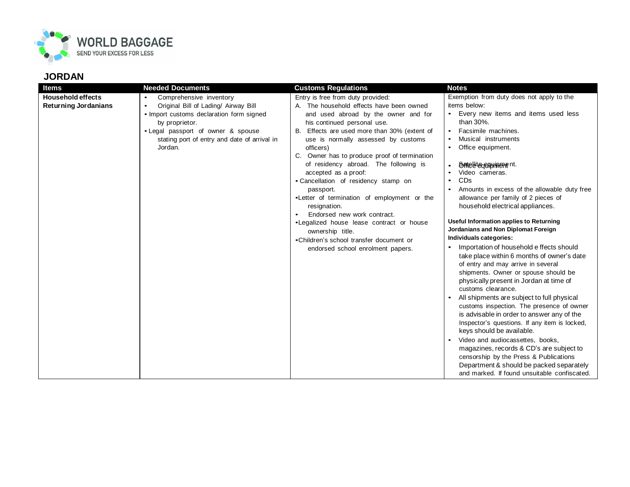

## **JORDAN**

| <b>Items</b>                                            | <b>Needed Documents</b>                                                                                                                                                                                                                                  | <b>Customs Regulations</b>                                                                                                                                                                                                                                                                                                                                                                                                                                                                                                                                                                                                                                                   | <b>Notes</b>                                                                                                                                                                                                                                                                                                                                                                                                                                                                                                                                                                                                                                                                                                                                                                                                                                                                                                                                                                                                                                                                     |
|---------------------------------------------------------|----------------------------------------------------------------------------------------------------------------------------------------------------------------------------------------------------------------------------------------------------------|------------------------------------------------------------------------------------------------------------------------------------------------------------------------------------------------------------------------------------------------------------------------------------------------------------------------------------------------------------------------------------------------------------------------------------------------------------------------------------------------------------------------------------------------------------------------------------------------------------------------------------------------------------------------------|----------------------------------------------------------------------------------------------------------------------------------------------------------------------------------------------------------------------------------------------------------------------------------------------------------------------------------------------------------------------------------------------------------------------------------------------------------------------------------------------------------------------------------------------------------------------------------------------------------------------------------------------------------------------------------------------------------------------------------------------------------------------------------------------------------------------------------------------------------------------------------------------------------------------------------------------------------------------------------------------------------------------------------------------------------------------------------|
| <b>Household effects</b><br><b>Returning Jordanians</b> | Comprehensive inventory<br>$\bullet$<br>Original Bill of Lading/ Airway Bill<br>$\bullet$<br>• Import customs declaration form signed<br>by proprietor.<br>• Legal passport of owner & spouse<br>stating port of entry and date of arrival in<br>Jordan. | Entry is free from duty provided:<br>A. The household effects have been owned<br>and used abroad by the owner and for<br>his continued personal use.<br>Effects are used more than 30% (extent of<br>В.<br>use is normally assessed by customs<br>officers)<br>Owner has to produce proof of termination<br>of residency abroad. The following is<br>accepted as a proof:<br>• Cancellation of residency stamp on<br>passport.<br>.Letter of termination of employment or the<br>resignation.<br>Endorsed new work contract.<br>•Legalized house lease contract or house<br>ownership title.<br>•Children's school transfer document or<br>endorsed school enrolment papers. | Exemption from duty does not apply to the<br>items below:<br>• Every new items and items used less<br>than 30%.<br>Facsimile machines.<br>Musical instruments<br>• Office equipment.<br><b>Ontellitegenthinement.</b><br>Video cameras.<br>CDs<br>Amounts in excess of the allowable duty free<br>allowance per family of 2 pieces of<br>household electrical appliances.<br>Useful Information applies to Returning<br>Jordanians and Non Diplomat Foreign<br>Individuals categories:<br>Importation of household e ffects should<br>take place within 6 months of owner's date<br>of entry and may arrive in several<br>shipments. Owner or spouse should be<br>physically present in Jordan at time of<br>customs clearance.<br>All shipments are subject to full physical<br>customs inspection. The presence of owner<br>is advisable in order to answer any of the<br>Inspector's questions. If any item is locked,<br>keys should be available.<br>Video and audiocassettes, books,<br>magazines, records & CD's are subject to<br>censorship by the Press & Publications |
|                                                         |                                                                                                                                                                                                                                                          |                                                                                                                                                                                                                                                                                                                                                                                                                                                                                                                                                                                                                                                                              | Department & should be packed separately                                                                                                                                                                                                                                                                                                                                                                                                                                                                                                                                                                                                                                                                                                                                                                                                                                                                                                                                                                                                                                         |
|                                                         |                                                                                                                                                                                                                                                          |                                                                                                                                                                                                                                                                                                                                                                                                                                                                                                                                                                                                                                                                              | and marked. If found unsuitable confiscated.                                                                                                                                                                                                                                                                                                                                                                                                                                                                                                                                                                                                                                                                                                                                                                                                                                                                                                                                                                                                                                     |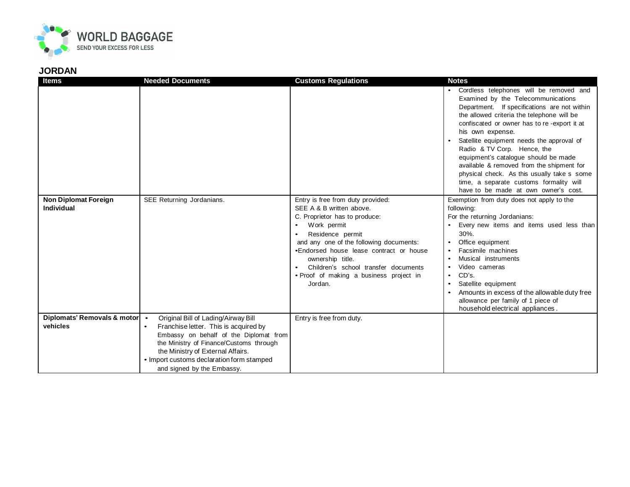

## **JORDAN**

| <b>Items</b>                                | <b>Needed Documents</b>                                                         | <b>Customs Regulations</b>              | <b>Notes</b>                                                                             |
|---------------------------------------------|---------------------------------------------------------------------------------|-----------------------------------------|------------------------------------------------------------------------------------------|
|                                             |                                                                                 |                                         | • Cordless telephones will be removed and                                                |
|                                             |                                                                                 |                                         | Examined by the Telecommunications                                                       |
|                                             |                                                                                 |                                         | Department. If specifications are not within                                             |
|                                             |                                                                                 |                                         | the allowed criteria the telephone will be                                               |
|                                             |                                                                                 |                                         | confiscated or owner has to re-export it at                                              |
|                                             |                                                                                 |                                         | his own expense.                                                                         |
|                                             |                                                                                 |                                         | Satellite equipment needs the approval of                                                |
|                                             |                                                                                 |                                         | Radio & TV Corp. Hence, the                                                              |
|                                             |                                                                                 |                                         | equipment's catalogue should be made                                                     |
|                                             |                                                                                 |                                         | available & removed from the shipment for<br>physical check. As this usually take s some |
|                                             |                                                                                 |                                         | time, a separate customs formality will                                                  |
|                                             |                                                                                 |                                         | have to be made at own owner's cost.                                                     |
| <b>Non Diplomat Foreign</b>                 | SEE Returning Jordanians.                                                       | Entry is free from duty provided:       | Exemption from duty does not apply to the                                                |
| <b>Individual</b>                           |                                                                                 | SEE A & B written above.                | following:                                                                               |
|                                             |                                                                                 | C. Proprietor has to produce:           | For the returning Jordanians:                                                            |
|                                             |                                                                                 | Work permit<br>$\bullet$                | Every new items and items used less than                                                 |
|                                             |                                                                                 | Residence permit                        | $30%$ .                                                                                  |
|                                             |                                                                                 | and any one of the following documents: | Office equipment                                                                         |
|                                             |                                                                                 | •Endorsed house lease contract or house | Facsimile machines                                                                       |
|                                             |                                                                                 | ownership title.                        | Musical instruments                                                                      |
|                                             |                                                                                 | Children's school transfer documents    | Video cameras                                                                            |
|                                             |                                                                                 | • Proof of making a business project in | CD's.                                                                                    |
|                                             |                                                                                 | Jordan.                                 | Satellite equipment                                                                      |
|                                             |                                                                                 |                                         | Amounts in excess of the allowable duty free                                             |
|                                             |                                                                                 |                                         | allowance per family of 1 piece of                                                       |
|                                             |                                                                                 |                                         | household electrical appliances.                                                         |
| Diplomats' Removals & motor   .<br>vehicles | Original Bill of Lading/Airway Bill                                             | Entry is free from duty.                |                                                                                          |
|                                             | Franchise letter. This is acquired by<br>Embassy on behalf of the Diplomat from |                                         |                                                                                          |
|                                             | the Ministry of Finance/Customs through                                         |                                         |                                                                                          |
|                                             | the Ministry of External Affairs.                                               |                                         |                                                                                          |
|                                             | • Import customs declaration form stamped                                       |                                         |                                                                                          |
|                                             | and signed by the Embassy.                                                      |                                         |                                                                                          |